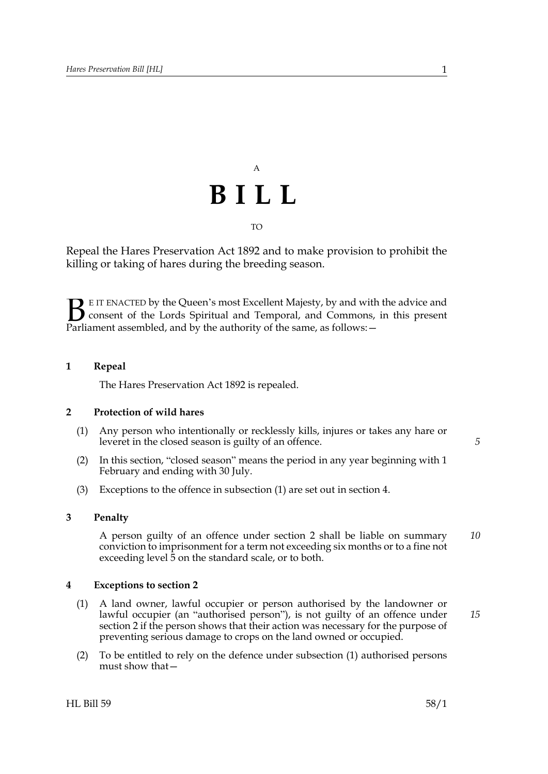## A **BILL** TO

Repeal the Hares Preservation Act 1892 and to make provision to prohibit the killing or taking of hares during the breeding season.

E IT ENACTED by the Queen's most Excellent Majesty, by and with the advice and consent of the Lords Spiritual and Temporal, and Commons, in this present **B** E IT ENACTED by the Queen's most Excellent Majesty, by and with consent of the Lords Spiritual and Temporal, and Commons, Parliament assembled, and by the authority of the same, as follows:  $-$ 

#### **1 Repeal**

The Hares Preservation Act 1892 is repealed.

#### <span id="page-0-1"></span>**2 Protection of wild hares**

- <span id="page-0-2"></span>(1) Any person who intentionally or recklessly kills, injures or takes any hare or leveret in the closed season is guilty of an offence.
- (2) In this section, "closed season" means the period in any year beginning with 1 February and ending with 30 July.
- (3) Exceptions to the offence in subsection [\(1\)](#page-0-2) are set out in section [4](#page-0-0).

### **3 Penalty**

A person guilty of an offence under section [2](#page-0-1) shall be liable on summary conviction to imprisonment for a term not exceeding six months or to a fine not exceeding level 5 on the standard scale, or to both. *10*

#### <span id="page-0-0"></span>**4 Exceptions to section [2](#page-0-1)**

- <span id="page-0-3"></span>(1) A land owner, lawful occupier or person authorised by the landowner or lawful occupier (an "authorised person"), is not guilty of an offence under section [2](#page-0-1) if the person shows that their action was necessary for the purpose of preventing serious damage to crops on the land owned or occupied.
- (2) To be entitled to rely on the defence under subsection [\(1\)](#page-0-3) authorised persons must show that—

 $HL$  Bill 59 58/1

*5*

*15*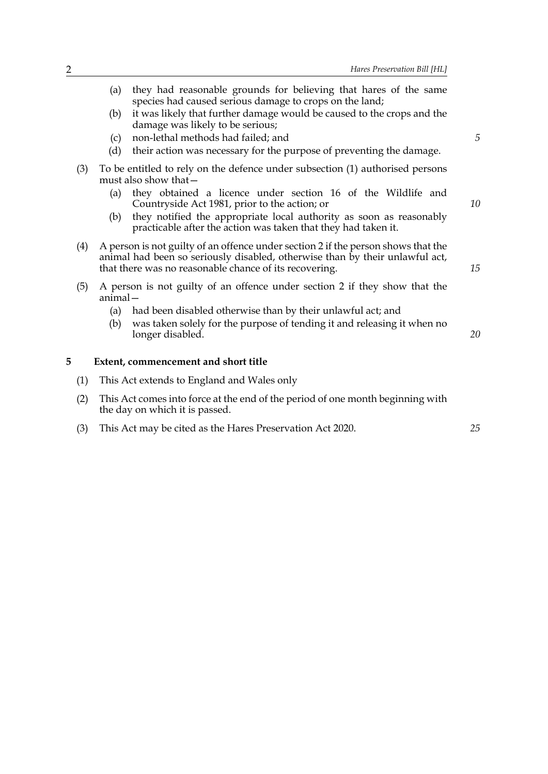- (a) they had reasonable grounds for believing that hares of the same species had caused serious damage to crops on the land; (b) it was likely that further damage would be caused to the crops and the damage was likely to be serious; (c) non-lethal methods had failed; and (d) their action was necessary for the purpose of preventing the damage. (3) To be entitled to rely on the defence under subsection [\(1\)](#page-0-3) authorised persons must also show that— (a) they obtained a licence under section 16 of the Wildlife and Countryside Act 1981, prior to the action; or (b) they notified the appropriate local authority as soon as reasonably practicable after the action was taken that they had taken it. (4) A person is not guilty of an offence under section [2](#page-0-1) if the person shows that the animal had been so seriously disabled, otherwise than by their unlawful act, that there was no reasonable chance of its recovering. (5) A person is not guilty of an offence under section [2](#page-0-1) if they show that the animal— (a) had been disabled otherwise than by their unlawful act; and (b) was taken solely for the purpose of tending it and releasing it when no longer disabled. **5 Extent, commencement and short title** (1) This Act extends to England and Wales only *5 10 15 20*
	- (2) This Act comes into force at the end of the period of one month beginning with the day on which it is passed.
	- (3) This Act may be cited as the Hares Preservation Act 2020.

*25*